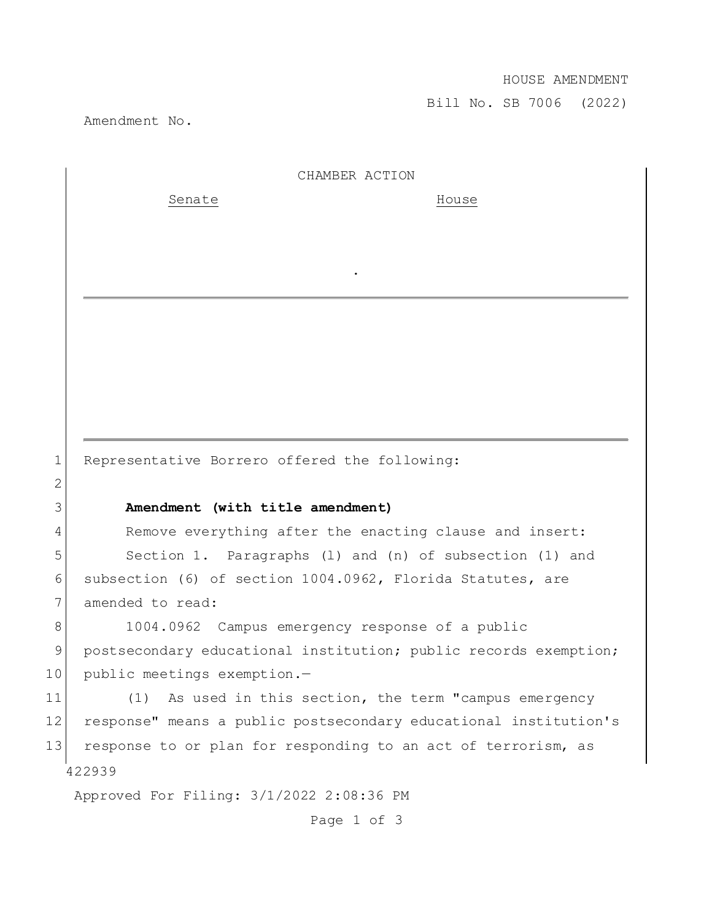## HOUSE AMENDMENT

Bill No. SB 7006 (2022)

Amendment No.

2

422939 Approved For Filing: 3/1/2022 2:08:36 PM CHAMBER ACTION Senate House . 1 Representative Borrero offered the following: 3 **Amendment (with title amendment)** 4 Remove everything after the enacting clause and insert: 5 Section 1. Paragraphs (1) and (n) of subsection (1) and 6 subsection (6) of section 1004.0962, Florida Statutes, are 7 amended to read: 8 1004.0962 Campus emergency response of a public 9 postsecondary educational institution; public records exemption; 10 public meetings exemption.-11 (1) As used in this section, the term "campus emergency 12 response" means a public postsecondary educational institution's 13 response to or plan for responding to an act of terrorism, as

Page 1 of 3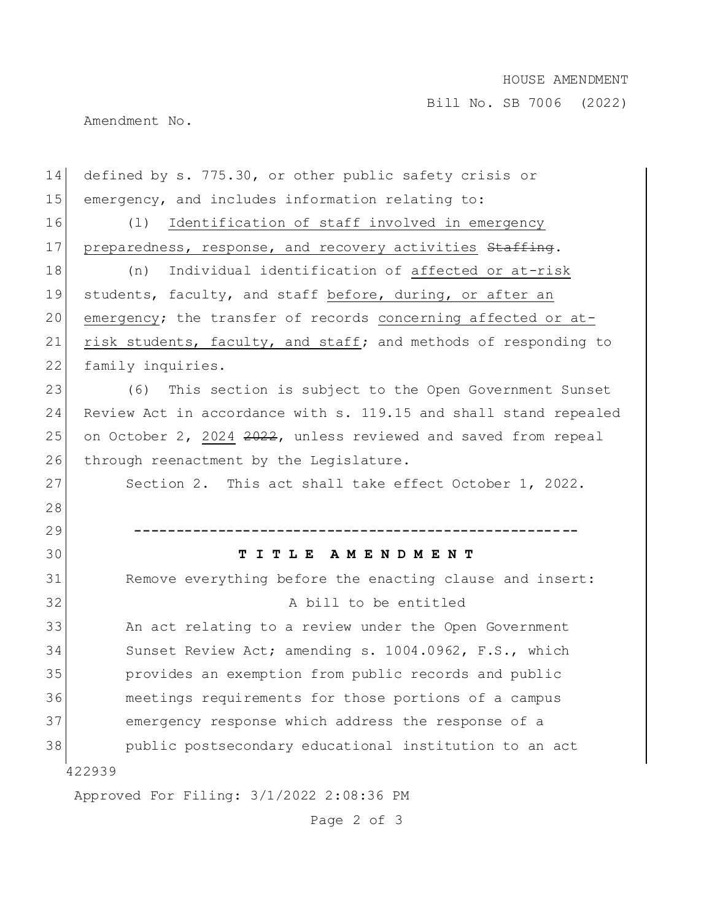## HOUSE AMENDMENT

Bill No. SB 7006 (2022)

Amendment No.

| 14 | defined by s. 775.30, or other public safety crisis or           |
|----|------------------------------------------------------------------|
| 15 | emergency, and includes information relating to:                 |
| 16 | Identification of staff involved in emergency<br>(1)             |
| 17 | preparedness, response, and recovery activities Staffing.        |
| 18 | Individual identification of affected or at-risk<br>(n)          |
| 19 | students, faculty, and staff before, during, or after an         |
| 20 | emergency; the transfer of records concerning affected or at-    |
| 21 | risk students, faculty, and staff; and methods of responding to  |
| 22 | family inquiries.                                                |
| 23 | This section is subject to the Open Government Sunset<br>(6)     |
| 24 | Review Act in accordance with s. 119.15 and shall stand repealed |
| 25 | on October 2, 2024 2022, unless reviewed and saved from repeal   |
| 26 | through reenactment by the Legislature.                          |
| 27 | Section 2. This act shall take effect October 1, 2022.           |
| 28 |                                                                  |
| 29 |                                                                  |
| 30 | TITLE AMENDMENT                                                  |
| 31 | Remove everything before the enacting clause and insert:         |
| 32 | A bill to be entitled                                            |
| 33 | An act relating to a review under the Open Government            |
| 34 | Sunset Review Act; amending s. 1004.0962, F.S., which            |
| 35 | provides an exemption from public records and public             |
| 36 | meetings requirements for those portions of a campus             |
| 37 | emergency response which address the response of a               |
| 38 | public postsecondary educational institution to an act           |
|    | 422939                                                           |
|    | Approved For Filing: 3/1/2022 2:08:36 PM                         |

Page 2 of 3